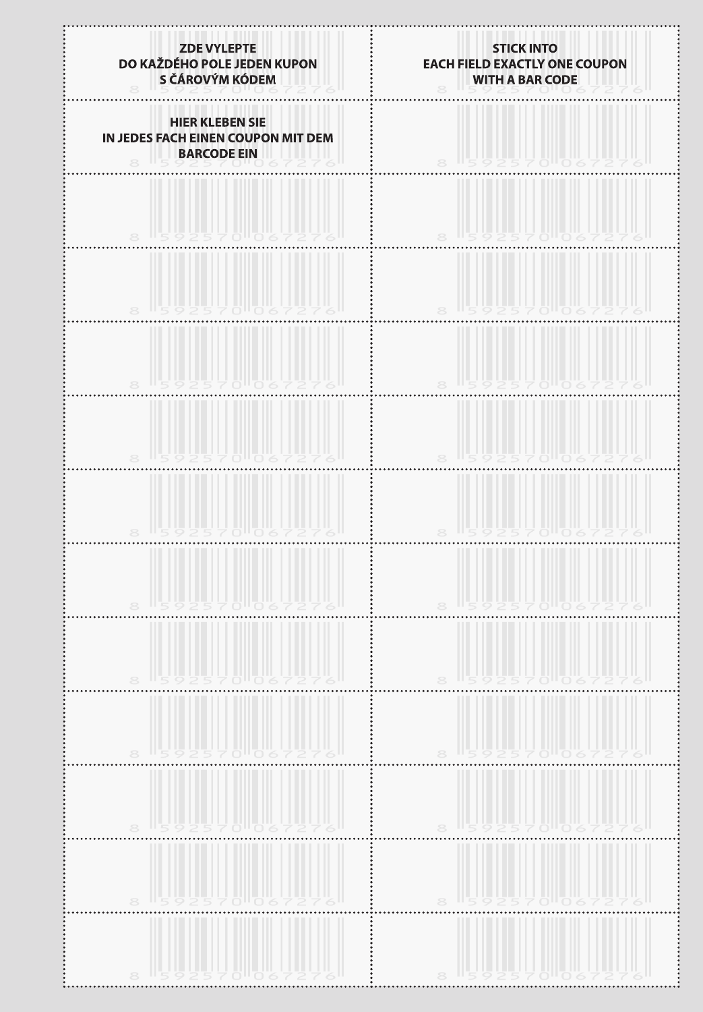